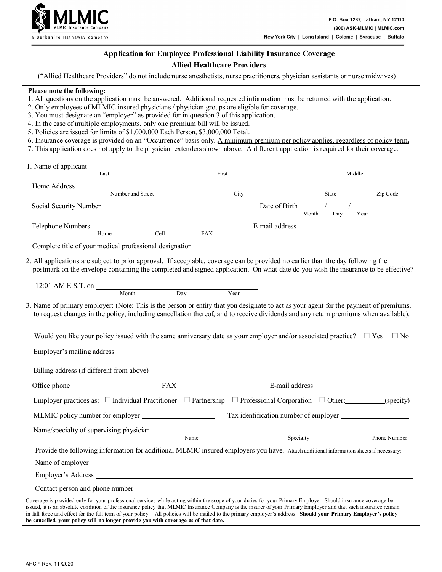

# **Application for Employee Professional Liability Insurance Coverage**

## **Allied Healthcare Providers**

("Allied Healthcare Providers" do not include nurse anesthetists, nurse practitioners, physician assistants or nurse midwives)

#### **Please note the following:**

- 1. All questions on the application must be answered. Additional requested information must be returned with the application.
- 2. Only employees of MLMIC insured physicians / physician groups are eligible for coverage.
- 3. You must designate an "employer" as provided for in question 3 of this application.
- 4. In the case of multiple employments, only one premium bill will be issued.
- 5. Policies are issued for limits of \$1,000,000 Each Person, \$3,000,000 Total.
- 6. Insurance coverage is provided on an "Occurrence" basis only. A minimum premium per policy applies, regardless of policy term**.**
- 7. This application does not apply to the physician extenders shown above. A different application is required for their coverage.

| 1. Name of applicant                                                                                                                                                                                                                                                                                                                                                                                                                                                                                |                          |                                                                                                                                                                                                                                |           |                   |              |
|-----------------------------------------------------------------------------------------------------------------------------------------------------------------------------------------------------------------------------------------------------------------------------------------------------------------------------------------------------------------------------------------------------------------------------------------------------------------------------------------------------|--------------------------|--------------------------------------------------------------------------------------------------------------------------------------------------------------------------------------------------------------------------------|-----------|-------------------|--------------|
| $\overline{Last}$                                                                                                                                                                                                                                                                                                                                                                                                                                                                                   | First                    |                                                                                                                                                                                                                                |           | Middle            |              |
| Home Address Number and Street                                                                                                                                                                                                                                                                                                                                                                                                                                                                      |                          |                                                                                                                                                                                                                                |           |                   |              |
|                                                                                                                                                                                                                                                                                                                                                                                                                                                                                                     |                          | City                                                                                                                                                                                                                           |           | State             | Zip Code     |
| Social Security Number                                                                                                                                                                                                                                                                                                                                                                                                                                                                              |                          | Date of Birth $\frac{1}{\frac{1}{\text{Month}}}}$ $\frac{1}{\frac{1}{\text{Day}}}}$                                                                                                                                            |           | $\overline{Year}$ |              |
|                                                                                                                                                                                                                                                                                                                                                                                                                                                                                                     |                          |                                                                                                                                                                                                                                |           |                   |              |
| Telephone Numbers Home<br>Cell                                                                                                                                                                                                                                                                                                                                                                                                                                                                      | $\overline{FAX}$         | E-mail address and the state of the state of the state of the state of the state of the state of the state of the state of the state of the state of the state of the state of the state of the state of the state of the stat |           |                   |              |
|                                                                                                                                                                                                                                                                                                                                                                                                                                                                                                     |                          |                                                                                                                                                                                                                                |           |                   |              |
| 2. All applications are subject to prior approval. If acceptable, coverage can be provided no earlier than the day following the<br>postmark on the envelope containing the completed and signed application. On what date do you wish the insurance to be effective?                                                                                                                                                                                                                               |                          |                                                                                                                                                                                                                                |           |                   |              |
| 12:01 AM E.S.T. on $\frac{12.01 \text{ AM E.S.T. on}}{12.01 \text{ AM E.S.}}$                                                                                                                                                                                                                                                                                                                                                                                                                       |                          | Year                                                                                                                                                                                                                           |           |                   |              |
| 3. Name of primary employer: (Note: This is the person or entity that you designate to act as your agent for the payment of premiums,<br>to request changes in the policy, including cancellation thereof, and to receive dividends and any return premiums when available).                                                                                                                                                                                                                        |                          |                                                                                                                                                                                                                                |           |                   |              |
| Would you like your policy issued with the same anniversary date as your employer and/or associated practice? $\Box$ Yes                                                                                                                                                                                                                                                                                                                                                                            |                          |                                                                                                                                                                                                                                |           |                   | $\Box$ No    |
|                                                                                                                                                                                                                                                                                                                                                                                                                                                                                                     |                          |                                                                                                                                                                                                                                |           |                   |              |
|                                                                                                                                                                                                                                                                                                                                                                                                                                                                                                     |                          |                                                                                                                                                                                                                                |           |                   |              |
|                                                                                                                                                                                                                                                                                                                                                                                                                                                                                                     |                          |                                                                                                                                                                                                                                |           |                   |              |
| Employer practices as: $\Box$ Individual Practitioner $\Box$ Partnership $\Box$ Professional Corporation $\Box$ Other: (specify)                                                                                                                                                                                                                                                                                                                                                                    |                          |                                                                                                                                                                                                                                |           |                   |              |
|                                                                                                                                                                                                                                                                                                                                                                                                                                                                                                     |                          | Tax identification number of employer                                                                                                                                                                                          |           |                   |              |
|                                                                                                                                                                                                                                                                                                                                                                                                                                                                                                     | $\overline{\text{Name}}$ |                                                                                                                                                                                                                                | Specialty |                   | Phone Number |
| Provide the following information for additional MLMIC insured employers you have. Attach additional information sheets if necessary:                                                                                                                                                                                                                                                                                                                                                               |                          |                                                                                                                                                                                                                                |           |                   |              |
|                                                                                                                                                                                                                                                                                                                                                                                                                                                                                                     |                          |                                                                                                                                                                                                                                |           |                   |              |
|                                                                                                                                                                                                                                                                                                                                                                                                                                                                                                     |                          |                                                                                                                                                                                                                                |           |                   |              |
| Contact person and phone number                                                                                                                                                                                                                                                                                                                                                                                                                                                                     |                          |                                                                                                                                                                                                                                |           |                   |              |
| Coverage is provided only for your professional services while acting within the scope of your duties for your Primary Employer. Should insurance coverage be<br>issued, it is an absolute condition of the insurance policy that MLMIC Insurance Company is the insurer of your Primary Employer and that such insurance remain<br>in full force and effect for the full term of your policy. All policies will be mailed to the primary employer's address. Should your Primary Employer's policy |                          |                                                                                                                                                                                                                                |           |                   |              |